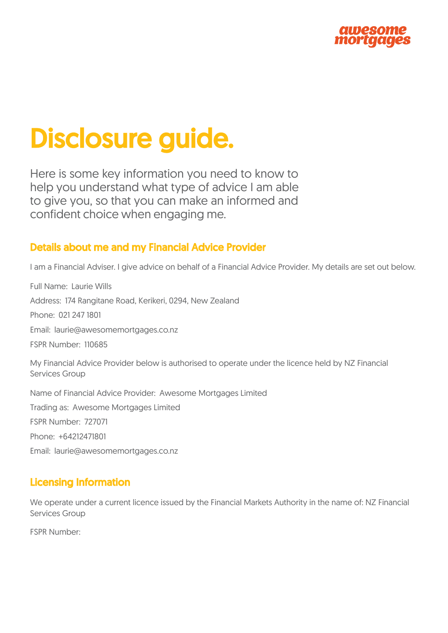

# Disclosure guide.

Here is some key information you need to know to help you understand what type of advice I am able to give you, so that you can make an informed and confident choice when engaging me.

### Details about me and my Financial Advice Provider

I am a Financial Adviser. I give advice on behalf of a Financial Advice Provider. My details are set out below.

Full Name: Laurie Wills Address: 174 Rangitane Road, Kerikeri, 0294, New Zealand Phone: 021 247 1801 Email: laurie@awesomemortgages.co.nz FSPR Number: 110685 My Financial Advice Provider below is authorised to operate under the licence held by NZ Financial Services Group Name of Financial Advice Provider: Awesome Mortgages Limited Trading as: Awesome Mortgages Limited FSPR Number: 727071 Phone: +64212471801

Email: laurie@awesomemortgages.co.nz

# Licensing Information

We operate under a current licence issued by the Financial Markets Authority in the name of: NZ Financial Services Group

FSPR Number: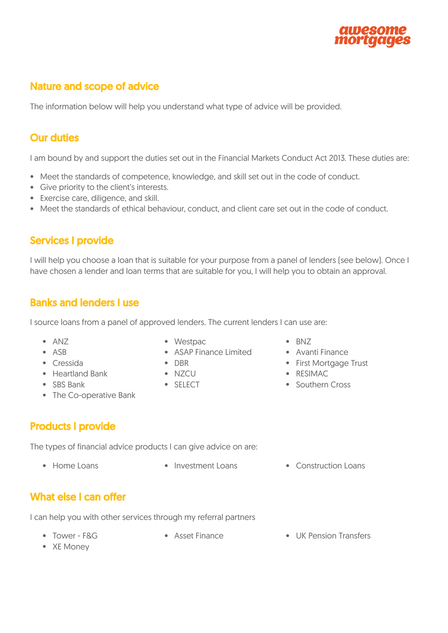

# Nature and scope of advice

The information below will help you understand what type of advice will be provided.

#### Our duties

I am bound by and support the duties set out in the Financial Markets Conduct Act 2013. These duties are:

- Meet the standards of competence, knowledge, and skill set out in the code of conduct.
- Give priority to the client's interests.
- Exercise care, diligence, and skill.
- Meet the standards of ethical behaviour, conduct, and client care set out in the code of conduct.

#### Services I provide

I will help you choose a loan that is suitable for your purpose from a panel of lenders (see below). Once I have chosen a lender and loan terms that are suitable for you, I will help you to obtain an approval.

#### Banks and lenders I use

I source loans from a panel of approved lenders. The current lenders I can use are:

- 
- 
- 
- Heartland Bank NZCU RESIMAC
- 
- The Co-operative Bank
- ANZ Westpac BNZ
- ASB ASAP Finance Limited Avanti Finance
	-
	-
	-
- 
- 
- Cressida DBR First Mortgage Trust
	-
- SBS Bank SELECT Southern Cross

#### Products I provide

The types of financial advice products I can give advice on are:

- 
- Home Loans Investment Loans Construction Loans

#### What else I can offer

I can help you with other services through my referral partners

- 
- 
- Tower F&G Asset Finance UK Pension Transfers
- XE Money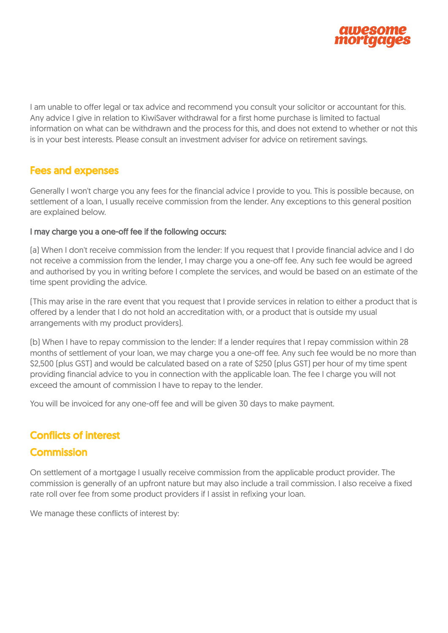

I am unable to offer legal or tax advice and recommend you consult your solicitor or accountant for this. Any advice I give in relation to KiwiSaver withdrawal for a first home purchase is limited to factual information on what can be withdrawn and the process for this, and does not extend to whether or not this is in your best interests. Please consult an investment adviser for advice on retirement savings.

#### Fees and expenses

Generally I won't charge you any fees for the financial advice I provide to you. This is possible because, on settlement of a loan, I usually receive commission from the lender. Any exceptions to this general position are explained below.

#### I may charge you a one-off fee if the following occurs:

(a) When I don't receive commission from the lender: If you request that I provide financial advice and I do not receive a commission from the lender, I may charge you a one-off fee. Any such fee would be agreed and authorised by you in writing before I complete the services, and would be based on an estimate of the time spent providing the advice.

(This may arise in the rare event that you request that I provide services in relation to either a product that is offered by a lender that I do not hold an accreditation with, or a product that is outside my usual arrangements with my product providers).

(b) When I have to repay commission to the lender: If a lender requires that I repay commission within 28 months of settlement of your loan, we may charge you a one-off fee. Any such fee would be no more than \$2,500 (plus GST) and would be calculated based on a rate of \$250 (plus GST) per hour of my time spent providing financial advice to you in connection with the applicable loan. The fee I charge you will not exceed the amount of commission I have to repay to the lender.

You will be invoiced for any one-off fee and will be given 30 days to make payment.

#### Conflicts of interest

#### **Commission**

On settlement of a mortgage I usually receive commission from the applicable product provider. The commission is generally of an upfront nature but may also include a trail commission. I also receive a fixed rate roll over fee from some product providers if I assist in refixing your loan.

We manage these conflicts of interest by: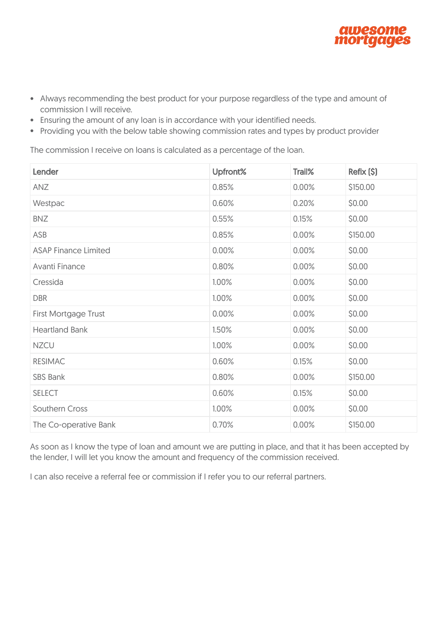

- Always recommending the best product for your purpose regardless of the type and amount of commission I will receive.
- Ensuring the amount of any loan is in accordance with your identified needs.
- Providing you with the below table showing commission rates and types by product provider

The commission I receive on loans is calculated as a percentage of the loan.

| Lender                      | Upfront% | Trail% | Refix (\$) |
|-----------------------------|----------|--------|------------|
| ANZ                         | 0.85%    | 0.00%  | \$150.00   |
| Westpac                     | 0.60%    | 0.20%  | \$0.00     |
| <b>BNZ</b>                  | 0.55%    | 0.15%  | \$0.00     |
| ASB                         | 0.85%    | 0.00%  | \$150.00   |
| <b>ASAP Finance Limited</b> | 0.00%    | 0.00%  | \$0.00     |
| Avanti Finance              | 0.80%    | 0.00%  | \$0.00     |
| Cressida                    | 1.00%    | 0.00%  | \$0.00     |
| <b>DBR</b>                  | 1.00%    | 0.00%  | \$0.00     |
| <b>First Mortgage Trust</b> | 0.00%    | 0.00%  | \$0.00     |
| <b>Heartland Bank</b>       | 1.50%    | 0.00%  | \$0.00     |
| <b>NZCU</b>                 | 1.00%    | 0.00%  | \$0.00     |
| <b>RESIMAC</b>              | 0.60%    | 0.15%  | \$0.00     |
| <b>SBS Bank</b>             | 0.80%    | 0.00%  | \$150.00   |
| <b>SELECT</b>               | 0.60%    | 0.15%  | \$0.00     |
| <b>Southern Cross</b>       | 1.00%    | 0.00%  | \$0.00     |
| The Co-operative Bank       | 0.70%    | 0.00%  | \$150.00   |

As soon as I know the type of loan and amount we are putting in place, and that it has been accepted by the lender, I will let you know the amount and frequency of the commission received.

I can also receive a referral fee or commission if I refer you to our referral partners.